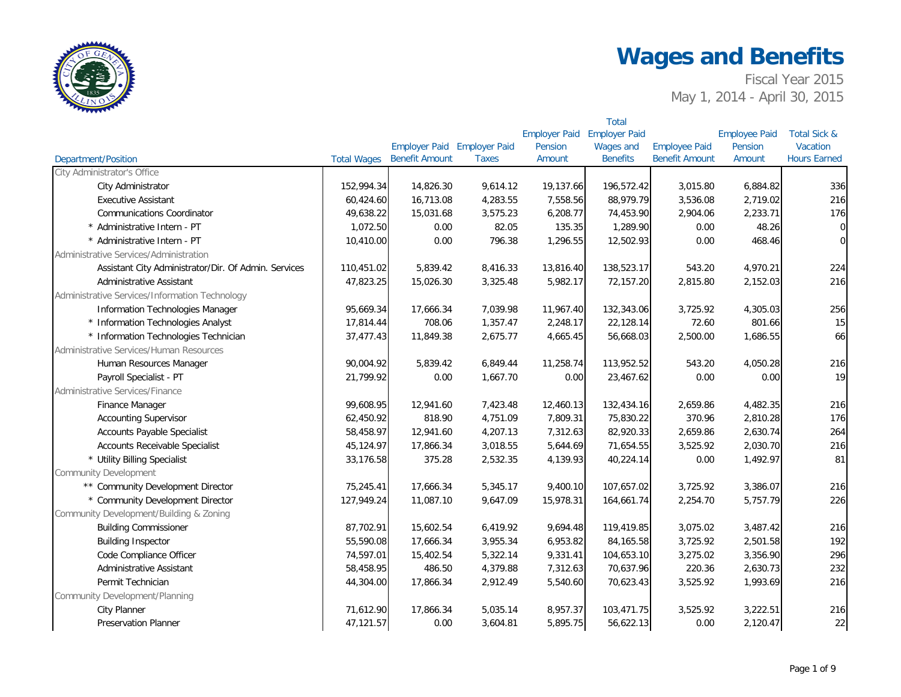

|                                                      |                    |                             |              |                      | <b>Total</b>         |                       |                      |                         |
|------------------------------------------------------|--------------------|-----------------------------|--------------|----------------------|----------------------|-----------------------|----------------------|-------------------------|
|                                                      |                    |                             |              | <b>Employer Paid</b> | <b>Employer Paid</b> |                       | <b>Employee Paid</b> | <b>Total Sick &amp;</b> |
|                                                      |                    | Employer Paid Employer Paid |              | Pension              | Wages and            | <b>Employee Paid</b>  | Pension              | Vacation                |
| <b>Department/Position</b>                           | <b>Total Wages</b> | <b>Benefit Amount</b>       | <b>Taxes</b> | Amount               | <b>Benefits</b>      | <b>Benefit Amount</b> | Amount               | <b>Hours Earned</b>     |
| City Administrator's Office                          |                    |                             |              |                      |                      |                       |                      |                         |
| City Administrator                                   | 152,994.34         | 14,826.30                   | 9,614.12     | 19,137.66            | 196,572.42           | 3,015.80              | 6,884.82             | 336                     |
| <b>Executive Assistant</b>                           | 60,424.60          | 16,713.08                   | 4,283.55     | 7,558.56             | 88,979.79            | 3,536.08              | 2,719.02             | 216                     |
| <b>Communications Coordinator</b>                    | 49,638.22          | 15,031.68                   | 3,575.23     | 6,208.77             | 74,453.90            | 2,904.06              | 2,233.71             | 176                     |
| * Administrative Intern - PT                         | 1,072.50           | 0.00                        | 82.05        | 135.35               | 1,289.90             | 0.00                  | 48.26                | $\overline{0}$          |
| * Administrative Intern - PT                         | 10,410.00          | 0.00                        | 796.38       | 1,296.55             | 12,502.93            | 0.00                  | 468.46               | $\overline{0}$          |
| Administrative Services/Administration               |                    |                             |              |                      |                      |                       |                      |                         |
| Assistant City Administrator/Dir. Of Admin. Services | 110,451.02         | 5,839.42                    | 8,416.33     | 13,816.40            | 138,523.17           | 543.20                | 4,970.21             | 224                     |
| Administrative Assistant                             | 47,823.25          | 15,026.30                   | 3,325.48     | 5,982.17             | 72,157.20            | 2,815.80              | 2,152.03             | 216                     |
| Administrative Services/Information Technology       |                    |                             |              |                      |                      |                       |                      |                         |
| Information Technologies Manager                     | 95,669.34          | 17,666.34                   | 7,039.98     | 11,967.40            | 132,343.06           | 3,725.92              | 4,305.03             | 256                     |
| * Information Technologies Analyst                   | 17,814.44          | 708.06                      | 1,357.47     | 2,248.17             | 22,128.14            | 72.60                 | 801.66               | 15                      |
| * Information Technologies Technician                | 37,477.43          | 11,849.38                   | 2,675.77     | 4,665.45             | 56,668.03            | 2,500.00              | 1,686.55             | 66                      |
| Administrative Services/Human Resources              |                    |                             |              |                      |                      |                       |                      |                         |
| Human Resources Manager                              | 90,004.92          | 5,839.42                    | 6,849.44     | 11,258.74            | 113,952.52           | 543.20                | 4,050.28             | 216                     |
| Payroll Specialist - PT                              | 21,799.92          | 0.00                        | 1,667.70     | 0.00                 | 23,467.62            | 0.00                  | 0.00                 | 19                      |
| Administrative Services/Finance                      |                    |                             |              |                      |                      |                       |                      |                         |
| Finance Manager                                      | 99,608.95          | 12,941.60                   | 7,423.48     | 12,460.13            | 132,434.16           | 2,659.86              | 4,482.35             | 216                     |
| <b>Accounting Supervisor</b>                         | 62,450.92          | 818.90                      | 4,751.09     | 7,809.31             | 75,830.22            | 370.96                | 2,810.28             | 176                     |
| Accounts Payable Specialist                          | 58,458.97          | 12,941.60                   | 4,207.13     | 7,312.63             | 82,920.33            | 2,659.86              | 2,630.74             | 264                     |
| Accounts Receivable Specialist                       | 45,124.97          | 17,866.34                   | 3,018.55     | 5,644.69             | 71,654.55            | 3,525.92              | 2,030.70             | 216                     |
| * Utility Billing Specialist                         | 33,176.58          | 375.28                      | 2,532.35     | 4,139.93             | 40,224.14            | 0.00                  | 1,492.97             | 81                      |
| <b>Community Development</b>                         |                    |                             |              |                      |                      |                       |                      |                         |
| ** Community Development Director                    | 75,245.41          | 17,666.34                   | 5,345.17     | 9,400.10             | 107,657.02           | 3,725.92              | 3,386.07             | 216                     |
| * Community Development Director                     | 127,949.24         | 11,087.10                   | 9,647.09     | 15,978.31            | 164,661.74           | 2,254.70              | 5,757.79             | 226                     |
| Community Development/Building & Zoning              |                    |                             |              |                      |                      |                       |                      |                         |
| <b>Building Commissioner</b>                         | 87,702.91          | 15,602.54                   | 6,419.92     | 9,694.48             | 119,419.85           | 3,075.02              | 3,487.42             | 216                     |
| <b>Building Inspector</b>                            | 55,590.08          | 17,666.34                   | 3,955.34     | 6,953.82             | 84,165.58            | 3,725.92              | 2,501.58             | 192                     |
| Code Compliance Officer                              | 74,597.01          | 15,402.54                   | 5,322.14     | 9,331.41             | 104,653.10           | 3,275.02              | 3,356.90             | 296                     |
| Administrative Assistant                             | 58,458.95          | 486.50                      | 4,379.88     | 7,312.63             | 70,637.96            | 220.36                | 2,630.73             | 232                     |
| Permit Technician                                    | 44,304.00          | 17,866.34                   | 2,912.49     | 5,540.60             | 70,623.43            | 3,525.92              | 1,993.69             | 216                     |
| Community Development/Planning                       |                    |                             |              |                      |                      |                       |                      |                         |
| <b>City Planner</b>                                  | 71,612.90          | 17,866.34                   | 5,035.14     | 8,957.37             | 103,471.75           | 3,525.92              | 3,222.51             | 216                     |
| <b>Preservation Planner</b>                          | 47,121.57          | 0.00                        | 3,604.81     | 5,895.75             | 56,622.13            | 0.00                  | 2,120.47             | 22                      |
|                                                      |                    |                             |              |                      |                      |                       |                      |                         |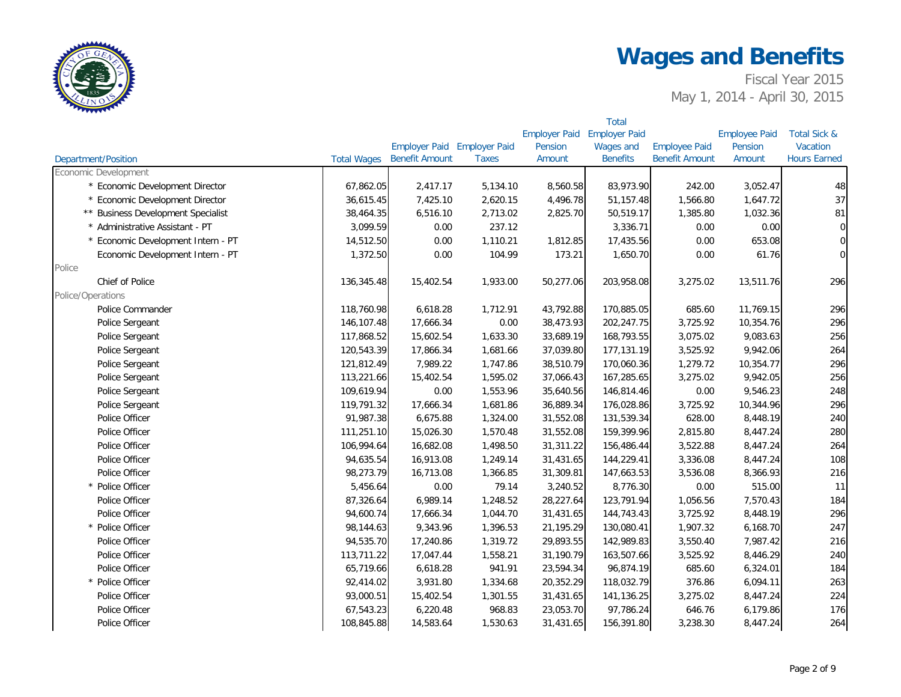

|                                    |                    |                             |              |                      | <b>Total</b>         |                       |                      |                         |
|------------------------------------|--------------------|-----------------------------|--------------|----------------------|----------------------|-----------------------|----------------------|-------------------------|
|                                    |                    |                             |              | <b>Employer Paid</b> | <b>Employer Paid</b> |                       | <b>Employee Paid</b> | <b>Total Sick &amp;</b> |
|                                    |                    | Employer Paid Employer Paid |              | Pension              | Wages and            | <b>Employee Paid</b>  | Pension              | Vacation                |
| <b>Department/Position</b>         | <b>Total Wages</b> | <b>Benefit Amount</b>       | <b>Taxes</b> | Amount               | <b>Benefits</b>      | <b>Benefit Amount</b> | Amount               | <b>Hours Earned</b>     |
| Economic Development               |                    |                             |              |                      |                      |                       |                      |                         |
| * Economic Development Director    | 67,862.05          | 2,417.17                    | 5,134.10     | 8,560.58             | 83,973.90            | 242.00                | 3,052.47             | 48                      |
| * Economic Development Director    | 36,615.45          | 7,425.10                    | 2,620.15     | 4,496.78             | 51,157.48            | 1,566.80              | 1,647.72             | 37                      |
| ** Business Development Specialist | 38,464.35          | 6,516.10                    | 2,713.02     | 2,825.70             | 50,519.17            | 1,385.80              | 1,032.36             | 81                      |
| * Administrative Assistant - PT    | 3,099.59           | 0.00                        | 237.12       |                      | 3,336.71             | 0.00                  | 0.00                 | $\overline{0}$          |
| * Economic Development Intern - PT | 14,512.50          | 0.00                        | 1,110.21     | 1,812.85             | 17,435.56            | 0.00                  | 653.08               | $\overline{0}$          |
| Economic Development Intern - PT   | 1,372.50           | 0.00                        | 104.99       | 173.21               | 1,650.70             | 0.00                  | 61.76                | $\overline{0}$          |
| Police                             |                    |                             |              |                      |                      |                       |                      |                         |
| Chief of Police                    | 136,345.48         | 15,402.54                   | 1,933.00     | 50,277.06            | 203,958.08           | 3,275.02              | 13,511.76            | 296                     |
| Police/Operations                  |                    |                             |              |                      |                      |                       |                      |                         |
| Police Commander                   | 118,760.98         | 6,618.28                    | 1,712.91     | 43,792.88            | 170,885.05           | 685.60                | 11,769.15            | 296                     |
| Police Sergeant                    | 146,107.48         | 17,666.34                   | 0.00         | 38,473.93            | 202,247.75           | 3,725.92              | 10,354.76            | 296                     |
| Police Sergeant                    | 117,868.52         | 15,602.54                   | 1,633.30     | 33,689.19            | 168,793.55           | 3,075.02              | 9,083.63             | 256                     |
| Police Sergeant                    | 120,543.39         | 17,866.34                   | 1,681.66     | 37,039.80            | 177,131.19           | 3,525.92              | 9,942.06             | 264                     |
| Police Sergeant                    | 121,812.49         | 7,989.22                    | 1,747.86     | 38,510.79            | 170,060.36           | 1,279.72              | 10,354.77            | 296                     |
| Police Sergeant                    | 113,221.66         | 15,402.54                   | 1,595.02     | 37,066.43            | 167,285.65           | 3,275.02              | 9,942.05             | 256                     |
| Police Sergeant                    | 109,619.94         | 0.00                        | 1,553.96     | 35,640.56            | 146,814.46           | 0.00                  | 9,546.23             | 248                     |
| Police Sergeant                    | 119,791.32         | 17,666.34                   | 1,681.86     | 36,889.34            | 176,028.86           | 3,725.92              | 10,344.96            | 296                     |
| Police Officer                     | 91,987.38          | 6,675.88                    | 1,324.00     | 31,552.08            | 131,539.34           | 628.00                | 8,448.19             | 240                     |
| Police Officer                     | 111,251.10         | 15,026.30                   | 1,570.48     | 31,552.08            | 159,399.96           | 2,815.80              | 8,447.24             | 280                     |
| Police Officer                     | 106,994.64         | 16,682.08                   | 1,498.50     | 31,311.22            | 156,486.44           | 3,522.88              | 8,447.24             | 264                     |
| Police Officer                     | 94,635.54          | 16,913.08                   | 1,249.14     | 31,431.65            | 144,229.41           | 3,336.08              | 8,447.24             | 108                     |
| Police Officer                     | 98,273.79          | 16,713.08                   | 1,366.85     | 31,309.81            | 147,663.53           | 3,536.08              | 8,366.93             | 216                     |
| * Police Officer                   | 5,456.64           | 0.00                        | 79.14        | 3,240.52             | 8,776.30             | 0.00                  | 515.00               | 11                      |
| Police Officer                     | 87,326.64          | 6,989.14                    | 1,248.52     | 28,227.64            | 123,791.94           | 1,056.56              | 7,570.43             | 184                     |
| Police Officer                     | 94,600.74          | 17,666.34                   | 1,044.70     | 31,431.65            | 144,743.43           | 3,725.92              | 8,448.19             | 296                     |
| * Police Officer                   | 98,144.63          | 9,343.96                    | 1,396.53     | 21,195.29            | 130,080.41           | 1,907.32              | 6,168.70             | 247                     |
| Police Officer                     | 94,535.70          | 17,240.86                   | 1,319.72     | 29,893.55            | 142,989.83           | 3,550.40              | 7,987.42             | 216                     |
| Police Officer                     | 113,711.22         | 17,047.44                   | 1,558.21     | 31,190.79            | 163,507.66           | 3,525.92              | 8,446.29             | 240                     |
| Police Officer                     | 65,719.66          | 6,618.28                    | 941.91       | 23,594.34            | 96,874.19            | 685.60                | 6,324.01             | 184                     |
| * Police Officer                   | 92,414.02          | 3,931.80                    | 1,334.68     | 20,352.29            | 118,032.79           | 376.86                | 6,094.11             | 263                     |
| Police Officer                     | 93,000.51          | 15,402.54                   | 1,301.55     | 31,431.65            | 141,136.25           | 3,275.02              | 8,447.24             | 224                     |
| Police Officer                     | 67,543.23          | 6,220.48                    | 968.83       | 23,053.70            | 97,786.24            | 646.76                | 6,179.86             | 176                     |
| Police Officer                     | 108,845.88         | 14,583.64                   | 1,530.63     | 31,431.65            | 156,391.80           | 3,238.30              | 8,447.24             | 264                     |
|                                    |                    |                             |              |                      |                      |                       |                      |                         |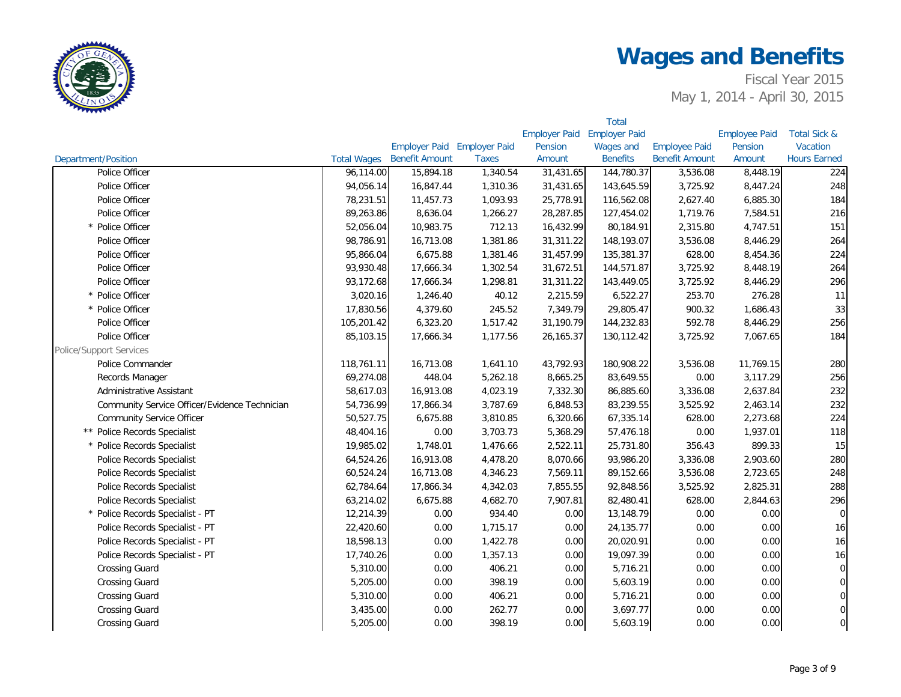

|                                               |                    |                             |              |                      | <b>Total</b>         |                       |                      |                         |
|-----------------------------------------------|--------------------|-----------------------------|--------------|----------------------|----------------------|-----------------------|----------------------|-------------------------|
|                                               |                    |                             |              | <b>Employer Paid</b> | <b>Employer Paid</b> |                       | <b>Employee Paid</b> | <b>Total Sick &amp;</b> |
|                                               |                    | Employer Paid Employer Paid |              | Pension              | Wages and            | <b>Employee Paid</b>  | Pension              | Vacation                |
| <b>Department/Position</b>                    | <b>Total Wages</b> | <b>Benefit Amount</b>       | <b>Taxes</b> | Amount               | <b>Benefits</b>      | <b>Benefit Amount</b> | Amount               | <b>Hours Earned</b>     |
| Police Officer                                | 96,114.00          | 15,894.18                   | 1,340.54     | 31,431.65            | 144,780.37           | 3,536.08              | 8,448.19             | 224                     |
| Police Officer                                | 94,056.14          | 16,847.44                   | 1,310.36     | 31,431.65            | 143,645.59           | 3,725.92              | 8,447.24             | 248                     |
| Police Officer                                | 78,231.51          | 11,457.73                   | 1,093.93     | 25,778.91            | 116,562.08           | 2,627.40              | 6,885.30             | 184                     |
| Police Officer                                | 89,263.86          | 8,636.04                    | 1,266.27     | 28,287.85            | 127,454.02           | 1,719.76              | 7,584.51             | 216                     |
| * Police Officer                              | 52,056.04          | 10,983.75                   | 712.13       | 16,432.99            | 80,184.91            | 2,315.80              | 4,747.51             | 151                     |
| Police Officer                                | 98,786.91          | 16,713.08                   | 1,381.86     | 31,311.22            | 148,193.07           | 3,536.08              | 8,446.29             | 264                     |
| Police Officer                                | 95,866.04          | 6,675.88                    | 1,381.46     | 31,457.99            | 135,381.37           | 628.00                | 8,454.36             | 224                     |
| Police Officer                                | 93,930.48          | 17,666.34                   | 1,302.54     | 31,672.51            | 144,571.87           | 3,725.92              | 8,448.19             | 264                     |
| Police Officer                                | 93,172.68          | 17,666.34                   | 1,298.81     | 31,311.22            | 143,449.05           | 3,725.92              | 8,446.29             | 296                     |
| * Police Officer                              | 3,020.16           | 1,246.40                    | 40.12        | 2,215.59             | 6,522.27             | 253.70                | 276.28               | 11                      |
| * Police Officer                              | 17,830.56          | 4,379.60                    | 245.52       | 7,349.79             | 29,805.47            | 900.32                | 1,686.43             | 33                      |
| Police Officer                                | 105,201.42         | 6,323.20                    | 1,517.42     | 31,190.79            | 144,232.83           | 592.78                | 8,446.29             | 256                     |
| Police Officer                                | 85,103.15          | 17,666.34                   | 1,177.56     | 26,165.37            | 130,112.42           | 3,725.92              | 7,067.65             | 184                     |
| <b>Police/Support Services</b>                |                    |                             |              |                      |                      |                       |                      |                         |
| Police Commander                              | 118,761.11         | 16,713.08                   | 1,641.10     | 43,792.93            | 180,908.22           | 3,536.08              | 11,769.15            | 280                     |
| Records Manager                               | 69,274.08          | 448.04                      | 5,262.18     | 8,665.25             | 83,649.55            | 0.00                  | 3,117.29             | 256                     |
| Administrative Assistant                      | 58,617.03          | 16,913.08                   | 4,023.19     | 7,332.30             | 86,885.60            | 3,336.08              | 2,637.84             | 232                     |
| Community Service Officer/Evidence Technician | 54,736.99          | 17,866.34                   | 3,787.69     | 6,848.53             | 83,239.55            | 3,525.92              | 2,463.14             | 232                     |
| <b>Community Service Officer</b>              | 50,527.75          | 6,675.88                    | 3,810.85     | 6,320.66             | 67,335.14            | 628.00                | 2,273.68             | 224                     |
| Police Records Specialist                     | 48,404.16          | 0.00                        | 3,703.73     | 5,368.29             | 57,476.18            | 0.00                  | 1,937.01             | 118                     |
| * Police Records Specialist                   | 19,985.02          | 1,748.01                    | 1,476.66     | 2,522.11             | 25,731.80            | 356.43                | 899.33               | 15                      |
| Police Records Specialist                     | 64,524.26          | 16,913.08                   | 4,478.20     | 8,070.66             | 93,986.20            | 3,336.08              | 2,903.60             | 280                     |
| Police Records Specialist                     | 60,524.24          | 16,713.08                   | 4,346.23     | 7,569.11             | 89,152.66            | 3,536.08              | 2,723.65             | 248                     |
| Police Records Specialist                     | 62,784.64          | 17,866.34                   | 4,342.03     | 7,855.55             | 92,848.56            | 3,525.92              | 2,825.31             | 288                     |
| Police Records Specialist                     | 63,214.02          | 6,675.88                    | 4,682.70     | 7,907.81             | 82,480.41            | 628.00                | 2,844.63             | 296                     |
| * Police Records Specialist - PT              | 12,214.39          | 0.00                        | 934.40       | 0.00                 | 13,148.79            | 0.00                  | 0.00                 | $\overline{0}$          |
| Police Records Specialist - PT                | 22,420.60          | 0.00                        | 1,715.17     | 0.00                 | 24,135.77            | 0.00                  | 0.00                 | 16                      |
| Police Records Specialist - PT                | 18,598.13          | 0.00                        | 1,422.78     | 0.00                 | 20,020.91            | 0.00                  | 0.00                 | 16                      |
| Police Records Specialist - PT                | 17,740.26          | 0.00                        | 1,357.13     | 0.00                 | 19,097.39            | 0.00                  | 0.00                 | 16                      |
| <b>Crossing Guard</b>                         | 5,310.00           | 0.00                        | 406.21       | 0.00                 | 5,716.21             | 0.00                  | 0.00                 | $\overline{0}$          |
| <b>Crossing Guard</b>                         | 5,205.00           | 0.00                        | 398.19       | 0.00                 | 5,603.19             | 0.00                  | 0.00                 | $\overline{0}$          |
| <b>Crossing Guard</b>                         | 5,310.00           | 0.00                        | 406.21       | 0.00                 | 5,716.21             | 0.00                  | 0.00                 | $\overline{0}$          |
| <b>Crossing Guard</b>                         | 3,435.00           | 0.00                        | 262.77       | 0.00                 | 3,697.77             | 0.00                  | 0.00                 | $\overline{0}$          |
| <b>Crossing Guard</b>                         | 5,205.00           | 0.00                        | 398.19       | 0.00                 | 5,603.19             | 0.00                  | 0.00                 | $\overline{0}$          |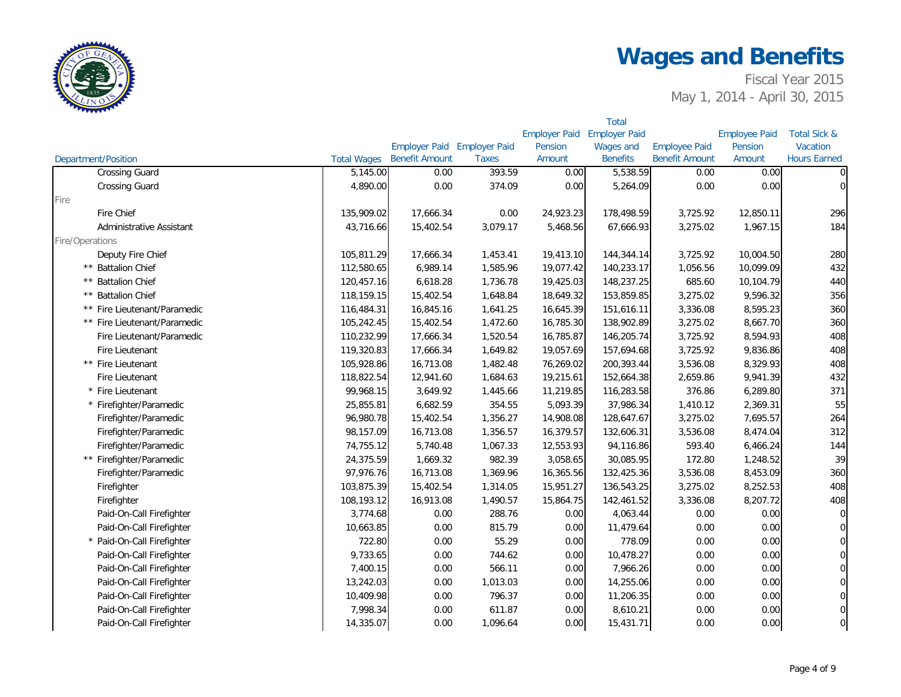

|                              |                       |                             |              |                      | <b>Total</b>         |                       |                      |                         |
|------------------------------|-----------------------|-----------------------------|--------------|----------------------|----------------------|-----------------------|----------------------|-------------------------|
|                              |                       |                             |              | <b>Employer Paid</b> | <b>Employer Paid</b> |                       | <b>Employee Paid</b> | <b>Total Sick &amp;</b> |
|                              |                       | Employer Paid Employer Paid |              | Pension              | <b>Wages and</b>     | <b>Employee Paid</b>  | Pension              | Vacation                |
| Department/Position          | <b>Total Wages</b>    | <b>Benefit Amount</b>       | <b>Taxes</b> | Amount               | <b>Benefits</b>      | <b>Benefit Amount</b> | Amount               | <b>Hours Earned</b>     |
| <b>Crossing Guard</b>        | $\overline{5,}145.00$ | 0.00                        | 393.59       | 0.00                 | 5,538.59             | 0.00                  | 0.00                 | $\overline{0}$          |
| <b>Crossing Guard</b>        | 4,890.00              | 0.00                        | 374.09       | 0.00                 | 5,264.09             | 0.00                  | 0.00                 | $\overline{0}$          |
| Fire                         |                       |                             |              |                      |                      |                       |                      |                         |
| Fire Chief                   | 135,909.02            | 17,666.34                   | 0.00         | 24,923.23            | 178,498.59           | 3,725.92              | 12,850.11            | 296                     |
| Administrative Assistant     | 43,716.66             | 15,402.54                   | 3,079.17     | 5,468.56             | 67,666.93            | 3,275.02              | 1,967.15             | 184                     |
| Fire/Operations              |                       |                             |              |                      |                      |                       |                      |                         |
| Deputy Fire Chief            | 105,811.29            | 17,666.34                   | 1,453.41     | 19,413.10            | 144,344.14           | 3,725.92              | 10,004.50            | 280                     |
| ** Battalion Chief           | 112,580.65            | 6,989.14                    | 1,585.96     | 19,077.42            | 140,233.17           | 1,056.56              | 10,099.09            | 432                     |
| ** Battalion Chief           | 120,457.16            | 6,618.28                    | 1,736.78     | 19,425.03            | 148,237.25           | 685.60                | 10,104.79            | 440                     |
| ** Battalion Chief           | 118,159.15            | 15,402.54                   | 1,648.84     | 18,649.32            | 153,859.85           | 3,275.02              | 9,596.32             | 356                     |
| ** Fire Lieutenant/Paramedic | 116,484.31            | 16,845.16                   | 1,641.25     | 16,645.39            | 151,616.11           | 3,336.08              | 8,595.23             | 360                     |
| ** Fire Lieutenant/Paramedic | 105,242.45            | 15,402.54                   | 1,472.60     | 16,785.30            | 138,902.89           | 3,275.02              | 8,667.70             | 360                     |
| Fire Lieutenant/Paramedic    | 110,232.99            | 17,666.34                   | 1,520.54     | 16,785.87            | 146,205.74           | 3,725.92              | 8,594.93             | 408                     |
| Fire Lieutenant              | 119,320.83            | 17,666.34                   | 1,649.82     | 19,057.69            | 157,694.68           | 3,725.92              | 9,836.86             | 408                     |
| ** Fire Lieutenant           | 105,928.86            | 16,713.08                   | 1,482.48     | 76,269.02            | 200,393.44           | 3,536.08              | 8,329.93             | 408                     |
| Fire Lieutenant              | 118,822.54            | 12,941.60                   | 1,684.63     | 19,215.61            | 152,664.38           | 2,659.86              | 9,941.39             | 432                     |
| * Fire Lieutenant            | 99,968.15             | 3,649.92                    | 1,445.66     | 11,219.85            | 116,283.58           | 376.86                | 6,289.80             | 371                     |
| * Firefighter/Paramedic      | 25,855.81             | 6,682.59                    | 354.55       | 5,093.39             | 37,986.34            | 1,410.12              | 2,369.31             | 55                      |
| Firefighter/Paramedic        | 96,980.78             | 15,402.54                   | 1,356.27     | 14,908.08            | 128,647.67           | 3,275.02              | 7,695.57             | 264                     |
| Firefighter/Paramedic        | 98,157.09             | 16,713.08                   | 1,356.57     | 16,379.57            | 132,606.31           | 3,536.08              | 8,474.04             | 312                     |
| Firefighter/Paramedic        | 74,755.12             | 5,740.48                    | 1,067.33     | 12,553.93            | 94,116.86            | 593.40                | 6,466.24             | 144                     |
| ** Firefighter/Paramedic     | 24,375.59             | 1,669.32                    | 982.39       | 3,058.65             | 30,085.95            | 172.80                | 1,248.52             | 39                      |
| Firefighter/Paramedic        | 97,976.76             | 16,713.08                   | 1,369.96     | 16,365.56            | 132,425.36           | 3,536.08              | 8,453.09             | 360                     |
| Firefighter                  | 103,875.39            | 15,402.54                   | 1,314.05     | 15,951.27            | 136,543.25           | 3,275.02              | 8,252.53             | 408                     |
| Firefighter                  | 108,193.12            | 16,913.08                   | 1,490.57     | 15,864.75            | 142,461.52           | 3,336.08              | 8,207.72             | 408                     |
| Paid-On-Call Firefighter     | 3,774.68              | 0.00                        | 288.76       | 0.00                 | 4,063.44             | 0.00                  | 0.00                 | $\overline{0}$          |
| Paid-On-Call Firefighter     | 10,663.85             | 0.00                        | 815.79       | 0.00                 | 11,479.64            | 0.00                  | 0.00                 | $\overline{0}$          |
| * Paid-On-Call Firefighter   | 722.80                | 0.00                        | 55.29        | 0.00                 | 778.09               | 0.00                  | 0.00                 | $\overline{0}$          |
| Paid-On-Call Firefighter     | 9,733.65              | 0.00                        | 744.62       | 0.00                 | 10,478.27            | 0.00                  | 0.00                 | $\overline{O}$          |
| Paid-On-Call Firefighter     | 7,400.15              | 0.00                        | 566.11       | 0.00                 | 7,966.26             | 0.00                  | 0.00                 | $\overline{0}$          |
| Paid-On-Call Firefighter     | 13,242.03             | 0.00                        | 1,013.03     | 0.00                 | 14,255.06            | 0.00                  | 0.00                 | $\overline{0}$          |
| Paid-On-Call Firefighter     | 10,409.98             | 0.00                        | 796.37       | 0.00                 | 11,206.35            | 0.00                  | 0.00                 | $\overline{O}$          |
| Paid-On-Call Firefighter     | 7,998.34              | 0.00                        | 611.87       | 0.00                 | 8,610.21             | 0.00                  | 0.00                 | $\overline{0}$          |
| Paid-On-Call Firefighter     | 14,335.07             | 0.00                        | 1,096.64     | 0.00                 | 15,431.71            | 0.00                  | 0.00                 | $\overline{0}$          |
|                              |                       |                             |              |                      |                      |                       |                      |                         |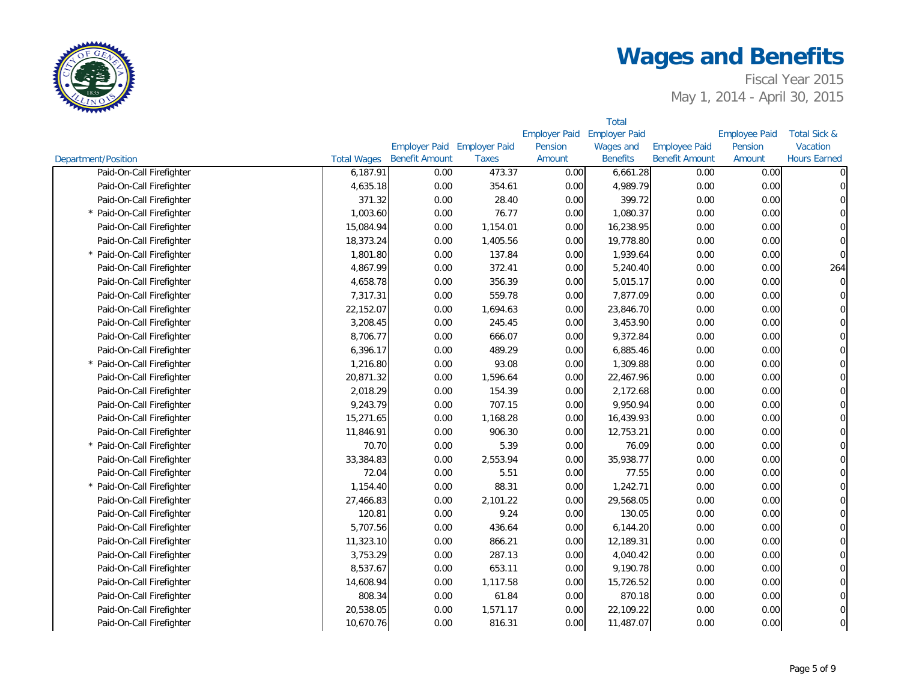

|                            |                    |                             |              |                      | <b>Total</b>         |                       |                      |                         |
|----------------------------|--------------------|-----------------------------|--------------|----------------------|----------------------|-----------------------|----------------------|-------------------------|
|                            |                    |                             |              | <b>Employer Paid</b> | <b>Employer Paid</b> |                       | <b>Employee Paid</b> | <b>Total Sick &amp;</b> |
|                            |                    | Employer Paid Employer Paid |              | Pension              | Wages and            | <b>Employee Paid</b>  | Pension              | Vacation                |
| <b>Department/Position</b> | <b>Total Wages</b> | <b>Benefit Amount</b>       | <b>Taxes</b> | Amount               | <b>Benefits</b>      | <b>Benefit Amount</b> | Amount               | <b>Hours Earned</b>     |
| Paid-On-Call Firefighter   | 6,187.91           | 0.00                        | 473.37       | 0.00                 | 6,661.28             | 0.00                  | 0.00                 | $\Omega$                |
| Paid-On-Call Firefighter   | 4,635.18           | 0.00                        | 354.61       | 0.00                 | 4,989.79             | 0.00                  | 0.00                 | $\overline{0}$          |
| Paid-On-Call Firefighter   | 371.32             | 0.00                        | 28.40        | 0.00                 | 399.72               | 0.00                  | 0.00                 | $\Omega$                |
| * Paid-On-Call Firefighter | 1,003.60           | 0.00                        | 76.77        | 0.00                 | 1,080.37             | 0.00                  | 0.00                 | $\Omega$                |
| Paid-On-Call Firefighter   | 15,084.94          | 0.00                        | 1,154.01     | 0.00                 | 16,238.95            | 0.00                  | 0.00                 | $\Omega$                |
| Paid-On-Call Firefighter   | 18,373.24          | 0.00                        | 1,405.56     | 0.00                 | 19,778.80            | 0.00                  | 0.00                 | $\Omega$                |
| * Paid-On-Call Firefighter | 1,801.80           | 0.00                        | 137.84       | 0.00                 | 1,939.64             | 0.00                  | 0.00                 | $\overline{0}$          |
| Paid-On-Call Firefighter   | 4,867.99           | 0.00                        | 372.41       | 0.00                 | 5,240.40             | 0.00                  | 0.00                 | 264                     |
| Paid-On-Call Firefighter   | 4,658.78           | 0.00                        | 356.39       | 0.00                 | 5,015.17             | 0.00                  | 0.00                 | $\overline{0}$          |
| Paid-On-Call Firefighter   | 7,317.31           | 0.00                        | 559.78       | 0.00                 | 7,877.09             | 0.00                  | 0.00                 | $\mathbf 0$             |
| Paid-On-Call Firefighter   | 22,152.07          | 0.00                        | 1,694.63     | 0.00                 | 23,846.70            | 0.00                  | 0.00                 | $\overline{0}$          |
| Paid-On-Call Firefighter   | 3,208.45           | 0.00                        | 245.45       | 0.00                 | 3,453.90             | 0.00                  | 0.00                 | $\overline{0}$          |
| Paid-On-Call Firefighter   | 8,706.77           | 0.00                        | 666.07       | 0.00                 | 9,372.84             | 0.00                  | 0.00                 | $\overline{0}$          |
| Paid-On-Call Firefighter   | 6,396.17           | 0.00                        | 489.29       | 0.00                 | 6,885.46             | 0.00                  | 0.00                 | $\overline{0}$          |
| * Paid-On-Call Firefighter | 1,216.80           | 0.00                        | 93.08        | 0.00                 | 1,309.88             | 0.00                  | 0.00                 | $\overline{0}$          |
| Paid-On-Call Firefighter   | 20,871.32          | 0.00                        | 1,596.64     | 0.00                 | 22,467.96            | 0.00                  | 0.00                 | $\overline{0}$          |
| Paid-On-Call Firefighter   | 2,018.29           | 0.00                        | 154.39       | 0.00                 | 2,172.68             | 0.00                  | 0.00                 | $\overline{0}$          |
| Paid-On-Call Firefighter   | 9,243.79           | 0.00                        | 707.15       | 0.00                 | 9,950.94             | 0.00                  | 0.00                 | $\mathbf 0$             |
| Paid-On-Call Firefighter   | 15,271.65          | 0.00                        | 1,168.28     | 0.00                 | 16,439.93            | 0.00                  | 0.00                 | $\mathbf 0$             |
| Paid-On-Call Firefighter   | 11,846.91          | 0.00                        | 906.30       | 0.00                 | 12,753.21            | 0.00                  | 0.00                 | $\mathbf 0$             |
| * Paid-On-Call Firefighter | 70.70              | 0.00                        | 5.39         | 0.00                 | 76.09                | 0.00                  | 0.00                 | $\overline{0}$          |
| Paid-On-Call Firefighter   | 33,384.83          | 0.00                        | 2,553.94     | 0.00                 | 35,938.77            | 0.00                  | 0.00                 | $\overline{0}$          |
| Paid-On-Call Firefighter   | 72.04              | 0.00                        | 5.51         | 0.00                 | 77.55                | 0.00                  | 0.00                 | $\overline{0}$          |
| * Paid-On-Call Firefighter | 1,154.40           | 0.00                        | 88.31        | 0.00                 | 1,242.71             | 0.00                  | 0.00                 | $\overline{O}$          |
| Paid-On-Call Firefighter   | 27,466.83          | 0.00                        | 2,101.22     | 0.00                 | 29,568.05            | 0.00                  | 0.00                 | $\overline{0}$          |
| Paid-On-Call Firefighter   | 120.81             | 0.00                        | 9.24         | 0.00                 | 130.05               | 0.00                  | 0.00                 | $\overline{O}$          |
| Paid-On-Call Firefighter   | 5,707.56           | 0.00                        | 436.64       | 0.00                 | 6,144.20             | 0.00                  | 0.00                 | $\overline{0}$          |
| Paid-On-Call Firefighter   | 11,323.10          | 0.00                        | 866.21       | 0.00                 | 12,189.31            | 0.00                  | 0.00                 | $\overline{0}$          |
| Paid-On-Call Firefighter   | 3,753.29           | 0.00                        | 287.13       | 0.00                 | 4,040.42             | 0.00                  | 0.00                 | $\overline{O}$          |
| Paid-On-Call Firefighter   | 8,537.67           | 0.00                        | 653.11       | 0.00                 | 9,190.78             | 0.00                  | 0.00                 | $\overline{0}$          |
| Paid-On-Call Firefighter   | 14,608.94          | 0.00                        | 1,117.58     | 0.00                 | 15,726.52            | 0.00                  | 0.00                 | $\overline{0}$          |
| Paid-On-Call Firefighter   | 808.34             | 0.00                        | 61.84        | 0.00                 | 870.18               | 0.00                  | 0.00                 | $\overline{0}$          |
| Paid-On-Call Firefighter   | 20,538.05          | 0.00                        | 1,571.17     | 0.00                 | 22,109.22            | 0.00                  | 0.00                 | $\overline{0}$          |
| Paid-On-Call Firefighter   | 10,670.76          | 0.00                        | 816.31       | 0.00                 | 11,487.07            | 0.00                  | 0.00                 | $\overline{0}$          |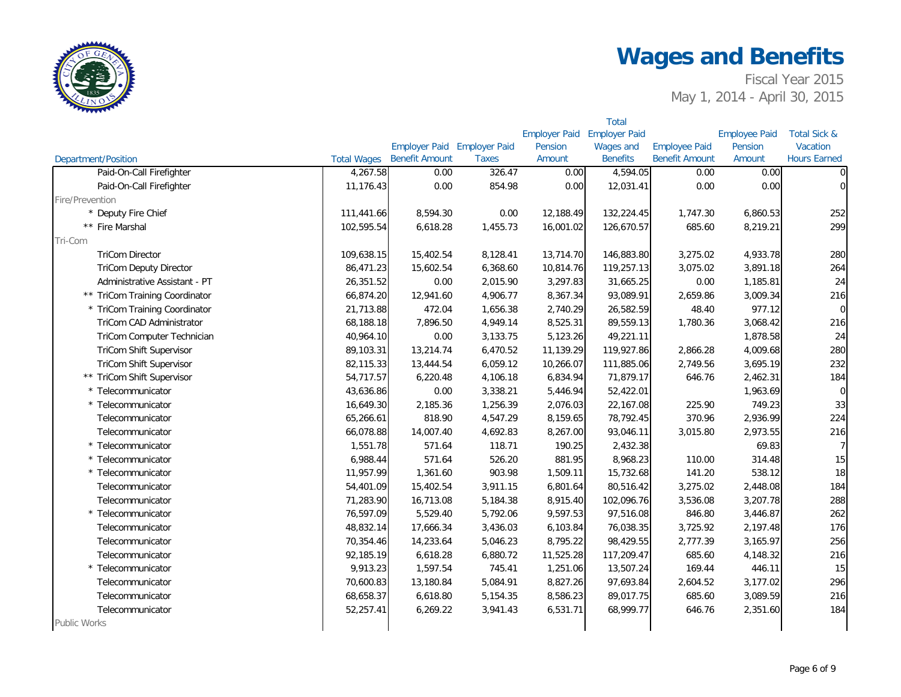

| <b>Employer Paid</b><br><b>Employer Paid</b><br><b>Employee Paid</b><br><b>Total Sick &amp;</b><br>Employer Paid Employer Paid<br><b>Employee Paid</b><br>Pension<br><b>Wages and</b><br>Pension<br>Vacation<br><b>Benefit Amount</b><br><b>Hours Earned</b><br><b>Taxes</b><br>Amount<br><b>Benefits</b><br><b>Benefit Amount</b><br>Amount<br><b>Department/Position</b><br><b>Total Wages</b><br>Paid-On-Call Firefighter<br>4,267.58<br>0.00<br>4,594.05<br>0.00<br>0.00<br>326.47<br>0.00<br>0.00<br>0.00<br>0.00<br>Paid-On-Call Firefighter<br>11,176.43<br>0.00<br>854.98<br>12,031.41<br>Fire/Prevention<br>* Deputy Fire Chief<br>111,441.66<br>8,594.30<br>0.00<br>12,188.49<br>132,224.45<br>1,747.30<br>6,860.53<br>** Fire Marshal<br>8,219.21<br>102,595.54<br>6,618.28<br>1,455.73<br>16,001.02<br>126,670.57<br>685.60<br>Tri-Com<br><b>TriCom Director</b><br>4,933.78<br>109,638.15<br>15,402.54<br>8,128.41<br>13,714.70<br>146,883.80<br>3,275.02<br><b>TriCom Deputy Director</b><br>86,471.23<br>15,602.54<br>6,368.60<br>10,814.76<br>119,257.13<br>3,075.02<br>3,891.18<br>26,351.52<br>0.00<br>2,015.90<br>3,297.83<br>31,665.25<br>0.00<br>1,185.81<br>Administrative Assistant - PT<br>93,089.91<br>** TriCom Training Coordinator<br>66,874.20<br>12,941.60<br>4,906.77<br>8,367.34<br>2,659.86<br>3,009.34<br>* TriCom Training Coordinator<br>21,713.88<br>472.04<br>1,656.38<br>2,740.29<br>26,582.59<br>48.40<br>977.12<br>89,559.13<br>TriCom CAD Administrator<br>68,188.18<br>7,896.50<br>4,949.14<br>8,525.31<br>1,780.36<br>3,068.42<br>TriCom Computer Technician<br>40,964.10<br>0.00<br>3,133.75<br>5,123.26<br>49,221.11<br>1,878.58 |                |
|--------------------------------------------------------------------------------------------------------------------------------------------------------------------------------------------------------------------------------------------------------------------------------------------------------------------------------------------------------------------------------------------------------------------------------------------------------------------------------------------------------------------------------------------------------------------------------------------------------------------------------------------------------------------------------------------------------------------------------------------------------------------------------------------------------------------------------------------------------------------------------------------------------------------------------------------------------------------------------------------------------------------------------------------------------------------------------------------------------------------------------------------------------------------------------------------------------------------------------------------------------------------------------------------------------------------------------------------------------------------------------------------------------------------------------------------------------------------------------------------------------------------------------------------------------------------------------------------------------------------------------------------------------------------------------|----------------|
|                                                                                                                                                                                                                                                                                                                                                                                                                                                                                                                                                                                                                                                                                                                                                                                                                                                                                                                                                                                                                                                                                                                                                                                                                                                                                                                                                                                                                                                                                                                                                                                                                                                                                |                |
|                                                                                                                                                                                                                                                                                                                                                                                                                                                                                                                                                                                                                                                                                                                                                                                                                                                                                                                                                                                                                                                                                                                                                                                                                                                                                                                                                                                                                                                                                                                                                                                                                                                                                |                |
|                                                                                                                                                                                                                                                                                                                                                                                                                                                                                                                                                                                                                                                                                                                                                                                                                                                                                                                                                                                                                                                                                                                                                                                                                                                                                                                                                                                                                                                                                                                                                                                                                                                                                |                |
|                                                                                                                                                                                                                                                                                                                                                                                                                                                                                                                                                                                                                                                                                                                                                                                                                                                                                                                                                                                                                                                                                                                                                                                                                                                                                                                                                                                                                                                                                                                                                                                                                                                                                | $\overline{0}$ |
|                                                                                                                                                                                                                                                                                                                                                                                                                                                                                                                                                                                                                                                                                                                                                                                                                                                                                                                                                                                                                                                                                                                                                                                                                                                                                                                                                                                                                                                                                                                                                                                                                                                                                | $\overline{0}$ |
|                                                                                                                                                                                                                                                                                                                                                                                                                                                                                                                                                                                                                                                                                                                                                                                                                                                                                                                                                                                                                                                                                                                                                                                                                                                                                                                                                                                                                                                                                                                                                                                                                                                                                |                |
|                                                                                                                                                                                                                                                                                                                                                                                                                                                                                                                                                                                                                                                                                                                                                                                                                                                                                                                                                                                                                                                                                                                                                                                                                                                                                                                                                                                                                                                                                                                                                                                                                                                                                | 252            |
|                                                                                                                                                                                                                                                                                                                                                                                                                                                                                                                                                                                                                                                                                                                                                                                                                                                                                                                                                                                                                                                                                                                                                                                                                                                                                                                                                                                                                                                                                                                                                                                                                                                                                | 299            |
|                                                                                                                                                                                                                                                                                                                                                                                                                                                                                                                                                                                                                                                                                                                                                                                                                                                                                                                                                                                                                                                                                                                                                                                                                                                                                                                                                                                                                                                                                                                                                                                                                                                                                |                |
|                                                                                                                                                                                                                                                                                                                                                                                                                                                                                                                                                                                                                                                                                                                                                                                                                                                                                                                                                                                                                                                                                                                                                                                                                                                                                                                                                                                                                                                                                                                                                                                                                                                                                | 280            |
|                                                                                                                                                                                                                                                                                                                                                                                                                                                                                                                                                                                                                                                                                                                                                                                                                                                                                                                                                                                                                                                                                                                                                                                                                                                                                                                                                                                                                                                                                                                                                                                                                                                                                | 264            |
|                                                                                                                                                                                                                                                                                                                                                                                                                                                                                                                                                                                                                                                                                                                                                                                                                                                                                                                                                                                                                                                                                                                                                                                                                                                                                                                                                                                                                                                                                                                                                                                                                                                                                | 24             |
|                                                                                                                                                                                                                                                                                                                                                                                                                                                                                                                                                                                                                                                                                                                                                                                                                                                                                                                                                                                                                                                                                                                                                                                                                                                                                                                                                                                                                                                                                                                                                                                                                                                                                | 216            |
|                                                                                                                                                                                                                                                                                                                                                                                                                                                                                                                                                                                                                                                                                                                                                                                                                                                                                                                                                                                                                                                                                                                                                                                                                                                                                                                                                                                                                                                                                                                                                                                                                                                                                | $\overline{0}$ |
|                                                                                                                                                                                                                                                                                                                                                                                                                                                                                                                                                                                                                                                                                                                                                                                                                                                                                                                                                                                                                                                                                                                                                                                                                                                                                                                                                                                                                                                                                                                                                                                                                                                                                | 216            |
|                                                                                                                                                                                                                                                                                                                                                                                                                                                                                                                                                                                                                                                                                                                                                                                                                                                                                                                                                                                                                                                                                                                                                                                                                                                                                                                                                                                                                                                                                                                                                                                                                                                                                | 24             |
| TriCom Shift Supervisor<br>89,103.31<br>13,214.74<br>6,470.52<br>11,139.29<br>119,927.86<br>2,866.28<br>4,009.68                                                                                                                                                                                                                                                                                                                                                                                                                                                                                                                                                                                                                                                                                                                                                                                                                                                                                                                                                                                                                                                                                                                                                                                                                                                                                                                                                                                                                                                                                                                                                               | 280            |
| 6,059.12<br>111,885.06<br>2,749.56<br>3,695.19<br>TriCom Shift Supervisor<br>82,115.33<br>13,444.54<br>10,266.07                                                                                                                                                                                                                                                                                                                                                                                                                                                                                                                                                                                                                                                                                                                                                                                                                                                                                                                                                                                                                                                                                                                                                                                                                                                                                                                                                                                                                                                                                                                                                               | 232            |
| 71,879.17<br>** TriCom Shift Supervisor<br>54,717.57<br>6,220.48<br>4,106.18<br>6,834.94<br>646.76<br>2,462.31                                                                                                                                                                                                                                                                                                                                                                                                                                                                                                                                                                                                                                                                                                                                                                                                                                                                                                                                                                                                                                                                                                                                                                                                                                                                                                                                                                                                                                                                                                                                                                 | 184            |
| 3,338.21<br>52,422.01<br>1,963.69<br>* Telecommunicator<br>43,636.86<br>0.00<br>5,446.94                                                                                                                                                                                                                                                                                                                                                                                                                                                                                                                                                                                                                                                                                                                                                                                                                                                                                                                                                                                                                                                                                                                                                                                                                                                                                                                                                                                                                                                                                                                                                                                       | $\overline{0}$ |
| 2,185.36<br>1,256.39<br>225.90<br>749.23<br>* Telecommunicator<br>16,649.30<br>2,076.03<br>22,167.08                                                                                                                                                                                                                                                                                                                                                                                                                                                                                                                                                                                                                                                                                                                                                                                                                                                                                                                                                                                                                                                                                                                                                                                                                                                                                                                                                                                                                                                                                                                                                                           | 33             |
| 818.90<br>4,547.29<br>8,159.65<br>78,792.45<br>370.96<br>2,936.99<br>Telecommunicator<br>65,266.61                                                                                                                                                                                                                                                                                                                                                                                                                                                                                                                                                                                                                                                                                                                                                                                                                                                                                                                                                                                                                                                                                                                                                                                                                                                                                                                                                                                                                                                                                                                                                                             | 224            |
| Telecommunicator<br>66,078.88<br>4,692.83<br>8,267.00<br>93,046.11<br>3,015.80<br>2,973.55<br>14,007.40                                                                                                                                                                                                                                                                                                                                                                                                                                                                                                                                                                                                                                                                                                                                                                                                                                                                                                                                                                                                                                                                                                                                                                                                                                                                                                                                                                                                                                                                                                                                                                        | 216            |
| 118.71<br>* Telecommunicator<br>1,551.78<br>571.64<br>190.25<br>2,432.38<br>69.83                                                                                                                                                                                                                                                                                                                                                                                                                                                                                                                                                                                                                                                                                                                                                                                                                                                                                                                                                                                                                                                                                                                                                                                                                                                                                                                                                                                                                                                                                                                                                                                              | 7 <sup>1</sup> |
| * Telecommunicator<br>6,988.44<br>571.64<br>526.20<br>881.95<br>8,968.23<br>110.00<br>314.48                                                                                                                                                                                                                                                                                                                                                                                                                                                                                                                                                                                                                                                                                                                                                                                                                                                                                                                                                                                                                                                                                                                                                                                                                                                                                                                                                                                                                                                                                                                                                                                   | 15             |
| 903.98<br>538.12<br>* Telecommunicator<br>11,957.99<br>1,361.60<br>1,509.11<br>15,732.68<br>141.20                                                                                                                                                                                                                                                                                                                                                                                                                                                                                                                                                                                                                                                                                                                                                                                                                                                                                                                                                                                                                                                                                                                                                                                                                                                                                                                                                                                                                                                                                                                                                                             | 18             |
| 3,275.02<br>Telecommunicator<br>54,401.09<br>15,402.54<br>3,911.15<br>6,801.64<br>80,516.42<br>2,448.08                                                                                                                                                                                                                                                                                                                                                                                                                                                                                                                                                                                                                                                                                                                                                                                                                                                                                                                                                                                                                                                                                                                                                                                                                                                                                                                                                                                                                                                                                                                                                                        | 184            |
| 102,096.76<br>3,207.78<br>Telecommunicator<br>71,283.90<br>16,713.08<br>5,184.38<br>8,915.40<br>3,536.08                                                                                                                                                                                                                                                                                                                                                                                                                                                                                                                                                                                                                                                                                                                                                                                                                                                                                                                                                                                                                                                                                                                                                                                                                                                                                                                                                                                                                                                                                                                                                                       | 288            |
| 76,597.09<br>5,529.40<br>5,792.06<br>9,597.53<br>97,516.08<br>846.80<br>* Telecommunicator<br>3,446.87                                                                                                                                                                                                                                                                                                                                                                                                                                                                                                                                                                                                                                                                                                                                                                                                                                                                                                                                                                                                                                                                                                                                                                                                                                                                                                                                                                                                                                                                                                                                                                         | 262            |
| 76,038.35<br>3,725.92<br>2,197.48<br>Telecommunicator<br>48,832.14<br>17,666.34<br>3,436.03<br>6,103.84                                                                                                                                                                                                                                                                                                                                                                                                                                                                                                                                                                                                                                                                                                                                                                                                                                                                                                                                                                                                                                                                                                                                                                                                                                                                                                                                                                                                                                                                                                                                                                        | 176            |
| 70,354.46<br>14,233.64<br>5,046.23<br>8,795.22<br>98,429.55<br>2,777.39<br>3,165.97<br>Telecommunicator                                                                                                                                                                                                                                                                                                                                                                                                                                                                                                                                                                                                                                                                                                                                                                                                                                                                                                                                                                                                                                                                                                                                                                                                                                                                                                                                                                                                                                                                                                                                                                        | 256            |
| Telecommunicator<br>92,185.19<br>6,618.28<br>6,880.72<br>11,525.28<br>117,209.47<br>685.60<br>4,148.32                                                                                                                                                                                                                                                                                                                                                                                                                                                                                                                                                                                                                                                                                                                                                                                                                                                                                                                                                                                                                                                                                                                                                                                                                                                                                                                                                                                                                                                                                                                                                                         | 216            |
| 1,597.54<br>745.41<br>* Telecommunicator<br>9,913.23<br>1,251.06<br>13,507.24<br>169.44<br>446.11                                                                                                                                                                                                                                                                                                                                                                                                                                                                                                                                                                                                                                                                                                                                                                                                                                                                                                                                                                                                                                                                                                                                                                                                                                                                                                                                                                                                                                                                                                                                                                              | 15             |
| Telecommunicator<br>70,600.83<br>13,180.84<br>5,084.91<br>8,827.26<br>97,693.84<br>2,604.52<br>3,177.02                                                                                                                                                                                                                                                                                                                                                                                                                                                                                                                                                                                                                                                                                                                                                                                                                                                                                                                                                                                                                                                                                                                                                                                                                                                                                                                                                                                                                                                                                                                                                                        | 296            |
| 89,017.75<br>685.60<br>Telecommunicator<br>68,658.37<br>6,618.80<br>5,154.35<br>8,586.23<br>3,089.59                                                                                                                                                                                                                                                                                                                                                                                                                                                                                                                                                                                                                                                                                                                                                                                                                                                                                                                                                                                                                                                                                                                                                                                                                                                                                                                                                                                                                                                                                                                                                                           | 216            |
| 646.76<br>52,257.41<br>6,269.22<br>3,941.43<br>6,531.71<br>68,999.77<br>2,351.60<br>Telecommunicator                                                                                                                                                                                                                                                                                                                                                                                                                                                                                                                                                                                                                                                                                                                                                                                                                                                                                                                                                                                                                                                                                                                                                                                                                                                                                                                                                                                                                                                                                                                                                                           | 184            |
| Public Works                                                                                                                                                                                                                                                                                                                                                                                                                                                                                                                                                                                                                                                                                                                                                                                                                                                                                                                                                                                                                                                                                                                                                                                                                                                                                                                                                                                                                                                                                                                                                                                                                                                                   |                |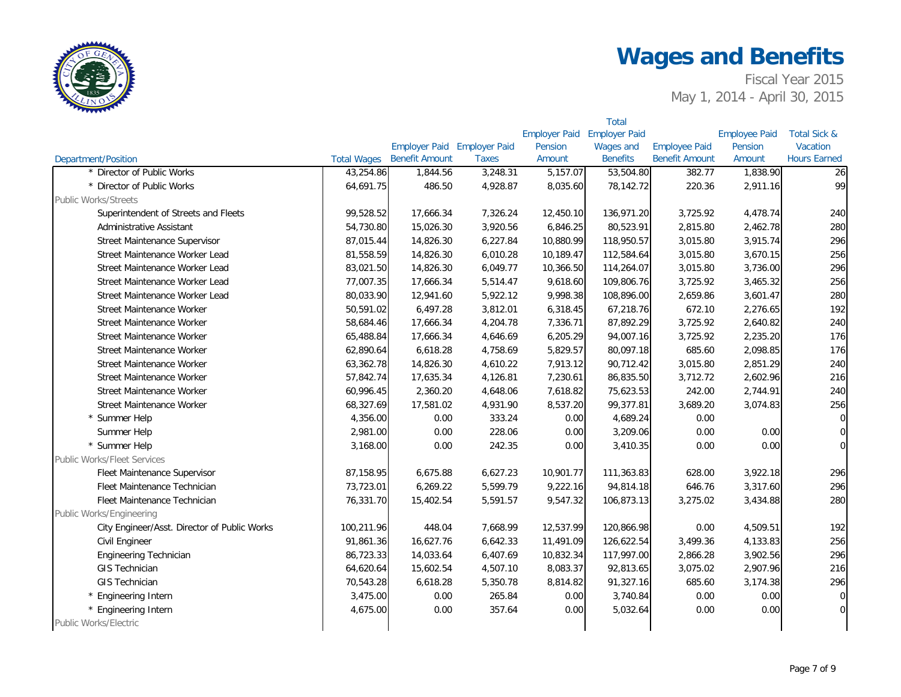

|                                              |                    |                             |              |                      | <b>Total</b>         |                       |                      |                         |
|----------------------------------------------|--------------------|-----------------------------|--------------|----------------------|----------------------|-----------------------|----------------------|-------------------------|
|                                              |                    |                             |              | <b>Employer Paid</b> | <b>Employer Paid</b> |                       | <b>Employee Paid</b> | <b>Total Sick &amp;</b> |
|                                              |                    | Employer Paid Employer Paid |              | Pension              | <b>Wages and</b>     | <b>Employee Paid</b>  | Pension              | Vacation                |
| Department/Position                          | <b>Total Wages</b> | <b>Benefit Amount</b>       | <b>Taxes</b> | Amount               | <b>Benefits</b>      | <b>Benefit Amount</b> | Amount               | <b>Hours Earned</b>     |
| * Director of Public Works                   | 43,254.86          | 1,844.56                    | 3,248.31     | 5,157.07             | 53,504.80            | 382.77                | 1,838.90             | 26                      |
| * Director of Public Works                   | 64,691.75          | 486.50                      | 4,928.87     | 8,035.60             | 78,142.72            | 220.36                | 2,911.16             | 99                      |
| <b>Public Works/Streets</b>                  |                    |                             |              |                      |                      |                       |                      |                         |
| Superintendent of Streets and Fleets         | 99,528.52          | 17,666.34                   | 7,326.24     | 12,450.10            | 136,971.20           | 3,725.92              | 4,478.74             | 240                     |
| Administrative Assistant                     | 54,730.80          | 15,026.30                   | 3,920.56     | 6,846.25             | 80,523.91            | 2,815.80              | 2,462.78             | 280                     |
| Street Maintenance Supervisor                | 87,015.44          | 14,826.30                   | 6,227.84     | 10,880.99            | 118,950.57           | 3,015.80              | 3,915.74             | 296                     |
| Street Maintenance Worker Lead               | 81,558.59          | 14,826.30                   | 6,010.28     | 10,189.47            | 112,584.64           | 3,015.80              | 3,670.15             | 256                     |
| Street Maintenance Worker Lead               | 83,021.50          | 14,826.30                   | 6,049.77     | 10,366.50            | 114,264.07           | 3,015.80              | 3,736.00             | 296                     |
| Street Maintenance Worker Lead               | 77,007.35          | 17,666.34                   | 5,514.47     | 9,618.60             | 109,806.76           | 3,725.92              | 3,465.32             | 256                     |
| Street Maintenance Worker Lead               | 80,033.90          | 12,941.60                   | 5,922.12     | 9,998.38             | 108,896.00           | 2,659.86              | 3,601.47             | 280                     |
| Street Maintenance Worker                    | 50,591.02          | 6,497.28                    | 3,812.01     | 6,318.45             | 67,218.76            | 672.10                | 2,276.65             | 192                     |
| Street Maintenance Worker                    | 58,684.46          | 17,666.34                   | 4,204.78     | 7,336.71             | 87,892.29            | 3,725.92              | 2,640.82             | 240                     |
| Street Maintenance Worker                    | 65,488.84          | 17,666.34                   | 4,646.69     | 6,205.29             | 94,007.16            | 3,725.92              | 2,235.20             | 176                     |
| Street Maintenance Worker                    | 62,890.64          | 6,618.28                    | 4,758.69     | 5,829.57             | 80,097.18            | 685.60                | 2,098.85             | 176                     |
| Street Maintenance Worker                    | 63,362.78          | 14,826.30                   | 4,610.22     | 7,913.12             | 90,712.42            | 3,015.80              | 2,851.29             | 240                     |
| Street Maintenance Worker                    | 57,842.74          | 17,635.34                   | 4,126.81     | 7,230.61             | 86,835.50            | 3,712.72              | 2,602.96             | 216                     |
| Street Maintenance Worker                    | 60,996.45          | 2,360.20                    | 4,648.06     | 7,618.82             | 75,623.53            | 242.00                | 2,744.91             | 240                     |
| Street Maintenance Worker                    | 68,327.69          | 17,581.02                   | 4,931.90     | 8,537.20             | 99,377.81            | 3,689.20              | 3,074.83             | 256                     |
| * Summer Help                                | 4,356.00           | 0.00                        | 333.24       | 0.00                 | 4,689.24             | 0.00                  |                      | $\overline{0}$          |
| Summer Help                                  | 2,981.00           | 0.00                        | 228.06       | 0.00                 | 3,209.06             | 0.00                  | 0.00                 | $\overline{0}$          |
| * Summer Help                                | 3,168.00           | 0.00                        | 242.35       | 0.00                 | 3,410.35             | 0.00                  | 0.00                 | $\overline{0}$          |
| <b>Public Works/Fleet Services</b>           |                    |                             |              |                      |                      |                       |                      |                         |
| Fleet Maintenance Supervisor                 | 87,158.95          | 6,675.88                    | 6,627.23     | 10,901.77            | 111,363.83           | 628.00                | 3,922.18             | 296                     |
| Fleet Maintenance Technician                 | 73,723.01          | 6,269.22                    | 5,599.79     | 9,222.16             | 94,814.18            | 646.76                | 3,317.60             | 296                     |
| Fleet Maintenance Technician                 | 76,331.70          | 15,402.54                   | 5,591.57     | 9,547.32             | 106,873.13           | 3,275.02              | 3,434.88             | 280                     |
| Public Works/Engineering                     |                    |                             |              |                      |                      |                       |                      |                         |
| City Engineer/Asst. Director of Public Works | 100,211.96         | 448.04                      | 7,668.99     | 12,537.99            | 120,866.98           | 0.00                  | 4,509.51             | 192                     |
| Civil Engineer                               | 91,861.36          | 16,627.76                   | 6,642.33     | 11,491.09            | 126,622.54           | 3,499.36              | 4,133.83             | 256                     |
| Engineering Technician                       | 86,723.33          | 14,033.64                   | 6,407.69     | 10,832.34            | 117,997.00           | 2,866.28              | 3,902.56             | 296                     |
| <b>GIS Technician</b>                        | 64,620.64          | 15,602.54                   | 4,507.10     | 8,083.37             | 92,813.65            | 3,075.02              | 2,907.96             | 216                     |
| <b>GIS Technician</b>                        | 70,543.28          | 6,618.28                    | 5,350.78     | 8,814.82             | 91,327.16            | 685.60                | 3,174.38             | 296                     |
| * Engineering Intern                         | 3,475.00           | 0.00                        | 265.84       | 0.00                 | 3,740.84             | 0.00                  | 0.00                 | $\overline{0}$          |
| * Engineering Intern                         | 4,675.00           | 0.00                        | 357.64       | 0.00                 | 5,032.64             | 0.00                  | 0.00                 | $\overline{0}$          |
| Public Works/Electric                        |                    |                             |              |                      |                      |                       |                      |                         |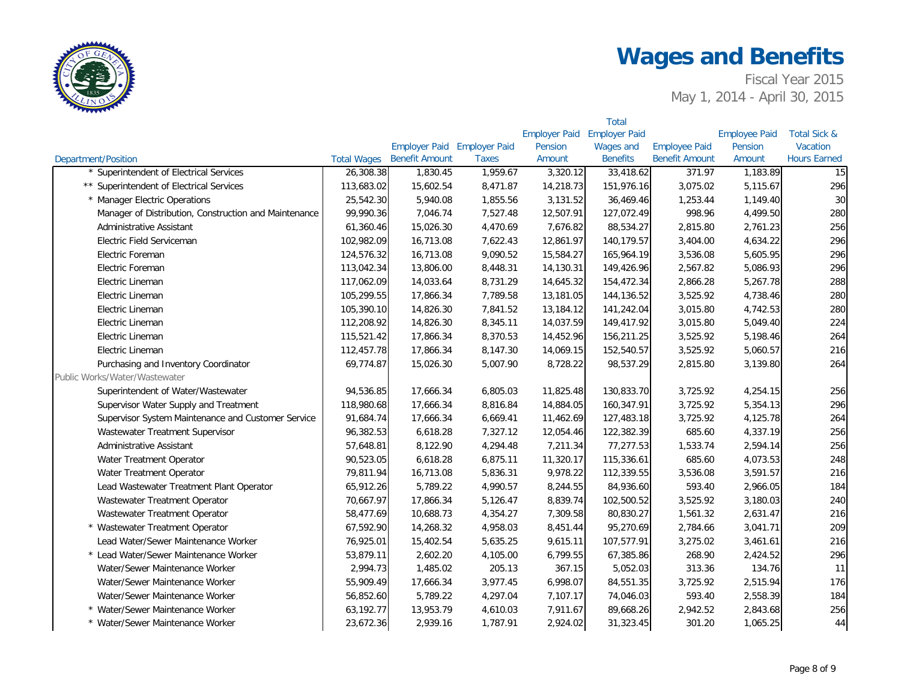

|                                                       |                    |                             |              |                      | <b>Total</b>         |                       |                      |                         |
|-------------------------------------------------------|--------------------|-----------------------------|--------------|----------------------|----------------------|-----------------------|----------------------|-------------------------|
|                                                       |                    |                             |              | <b>Employer Paid</b> | <b>Employer Paid</b> |                       | <b>Employee Paid</b> | <b>Total Sick &amp;</b> |
|                                                       |                    | Employer Paid Employer Paid |              | Pension              | <b>Wages and</b>     | <b>Employee Paid</b>  | Pension              | Vacation                |
| <b>Department/Position</b>                            | <b>Total Wages</b> | <b>Benefit Amount</b>       | <b>Taxes</b> | Amount               | <b>Benefits</b>      | <b>Benefit Amount</b> | Amount               | <b>Hours Earned</b>     |
| * Superintendent of Electrical Services               | 26,308.38          | 1,830.45                    | 1,959.67     | 3,320.12             | 33,418.62            | 371.97                | 1,183.89             | 15                      |
| ** Superintendent of Electrical Services              | 113,683.02         | 15,602.54                   | 8,471.87     | 14,218.73            | 151,976.16           | 3,075.02              | 5,115.67             | 296                     |
| * Manager Electric Operations                         | 25,542.30          | 5,940.08                    | 1,855.56     | 3,131.52             | 36,469.46            | 1,253.44              | 1,149.40             | 30                      |
| Manager of Distribution, Construction and Maintenance | 99,990.36          | 7,046.74                    | 7,527.48     | 12,507.91            | 127,072.49           | 998.96                | 4,499.50             | 280                     |
| Administrative Assistant                              | 61,360.46          | 15,026.30                   | 4,470.69     | 7,676.82             | 88,534.27            | 2,815.80              | 2,761.23             | 256                     |
| Electric Field Serviceman                             | 102,982.09         | 16,713.08                   | 7,622.43     | 12,861.97            | 140,179.57           | 3,404.00              | 4,634.22             | 296                     |
| Electric Foreman                                      | 124,576.32         | 16,713.08                   | 9,090.52     | 15,584.27            | 165,964.19           | 3,536.08              | 5,605.95             | 296                     |
| Electric Foreman                                      | 113,042.34         | 13,806.00                   | 8,448.31     | 14,130.31            | 149,426.96           | 2,567.82              | 5,086.93             | 296                     |
| Electric Lineman                                      | 117,062.09         | 14,033.64                   | 8,731.29     | 14,645.32            | 154,472.34           | 2,866.28              | 5,267.78             | 288                     |
| Electric Lineman                                      | 105,299.55         | 17,866.34                   | 7,789.58     | 13,181.05            | 144,136.52           | 3,525.92              | 4,738.46             | 280                     |
| Electric Lineman                                      | 105,390.10         | 14,826.30                   | 7,841.52     | 13,184.12            | 141,242.04           | 3,015.80              | 4,742.53             | 280                     |
| Electric Lineman                                      | 112,208.92         | 14,826.30                   | 8,345.11     | 14,037.59            | 149,417.92           | 3,015.80              | 5,049.40             | 224                     |
| Electric Lineman                                      | 115,521.42         | 17,866.34                   | 8,370.53     | 14,452.96            | 156,211.25           | 3,525.92              | 5,198.46             | 264                     |
| Electric Lineman                                      | 112,457.78         | 17,866.34                   | 8,147.30     | 14,069.15            | 152,540.57           | 3,525.92              | 5,060.57             | 216                     |
| Purchasing and Inventory Coordinator                  | 69,774.87          | 15,026.30                   | 5,007.90     | 8,728.22             | 98,537.29            | 2,815.80              | 3,139.80             | 264                     |
| Public Works/Water/Wastewater                         |                    |                             |              |                      |                      |                       |                      |                         |
| Superintendent of Water/Wastewater                    | 94,536.85          | 17,666.34                   | 6,805.03     | 11,825.48            | 130,833.70           | 3,725.92              | 4,254.15             | 256                     |
| Supervisor Water Supply and Treatment                 | 118,980.68         | 17,666.34                   | 8,816.84     | 14,884.05            | 160,347.91           | 3,725.92              | 5,354.13             | 296                     |
| Supervisor System Maintenance and Customer Service    | 91,684.74          | 17,666.34                   | 6,669.41     | 11,462.69            | 127,483.18           | 3,725.92              | 4,125.78             | 264                     |
| Wastewater Treatment Supervisor                       | 96,382.53          | 6,618.28                    | 7,327.12     | 12,054.46            | 122,382.39           | 685.60                | 4,337.19             | 256                     |
| Administrative Assistant                              | 57,648.81          | 8,122.90                    | 4,294.48     | 7,211.34             | 77,277.53            | 1,533.74              | 2,594.14             | 256                     |
| Water Treatment Operator                              | 90,523.05          | 6,618.28                    | 6,875.11     | 11,320.17            | 115,336.61           | 685.60                | 4,073.53             | 248                     |
| Water Treatment Operator                              | 79,811.94          | 16,713.08                   | 5,836.31     | 9,978.22             | 112,339.55           | 3,536.08              | 3,591.57             | 216                     |
| Lead Wastewater Treatment Plant Operator              | 65,912.26          | 5,789.22                    | 4,990.57     | 8,244.55             | 84,936.60            | 593.40                | 2,966.05             | 184                     |
| Wastewater Treatment Operator                         | 70,667.97          | 17,866.34                   | 5,126.47     | 8,839.74             | 102,500.52           | 3,525.92              | 3,180.03             | 240                     |
| Wastewater Treatment Operator                         | 58,477.69          | 10,688.73                   | 4,354.27     | 7,309.58             | 80,830.27            | 1,561.32              | 2,631.47             | 216                     |
| * Wastewater Treatment Operator                       | 67,592.90          | 14,268.32                   | 4,958.03     | 8,451.44             | 95,270.69            | 2,784.66              | 3,041.71             | 209                     |
| Lead Water/Sewer Maintenance Worker                   | 76,925.01          | 15,402.54                   | 5,635.25     | 9,615.11             | 107,577.91           | 3,275.02              | 3,461.61             | 216                     |
| * Lead Water/Sewer Maintenance Worker                 | 53,879.11          | 2,602.20                    | 4,105.00     | 6,799.55             | 67,385.86            | 268.90                | 2,424.52             | 296                     |
| Water/Sewer Maintenance Worker                        | 2,994.73           | 1,485.02                    | 205.13       | 367.15               | 5,052.03             | 313.36                | 134.76               | 11                      |
| Water/Sewer Maintenance Worker                        | 55,909.49          | 17,666.34                   | 3,977.45     | 6,998.07             | 84,551.35            | 3,725.92              | 2,515.94             | 176                     |
| Water/Sewer Maintenance Worker                        | 56,852.60          | 5,789.22                    | 4,297.04     | 7,107.17             | 74,046.03            | 593.40                | 2,558.39             | 184                     |
| * Water/Sewer Maintenance Worker                      | 63,192.77          | 13,953.79                   | 4,610.03     | 7,911.67             | 89,668.26            | 2,942.52              | 2,843.68             | 256                     |
| * Water/Sewer Maintenance Worker                      | 23,672.36          | 2,939.16                    | 1,787.91     | 2,924.02             | 31,323.45            | 301.20                | 1,065.25             | 44                      |
|                                                       |                    |                             |              |                      |                      |                       |                      |                         |